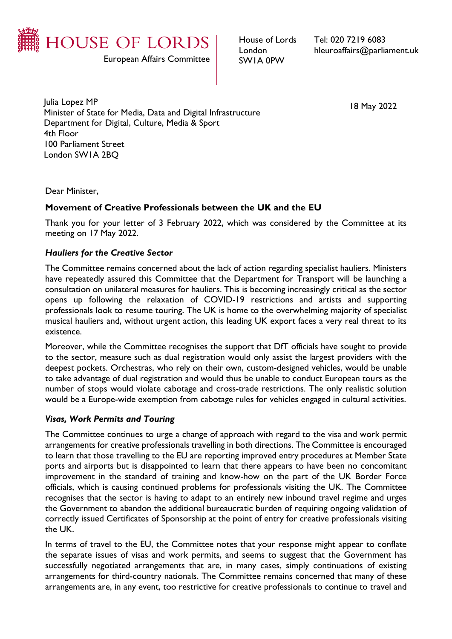

European Affairs Committee

House of Lords London SW1A 0PW

Tel: 020 7219 6083 hleuroaffairs@parliament.uk

Julia Lopez MP Minister of State for Media, Data and Digital Infrastructure Department for Digital, Culture, Media & Sport 4th Floor 100 Parliament Street London SW1A 2BQ

18 May 2022

Dear Minister,

## **Movement of Creative Professionals between the UK and the EU**

Thank you for your letter of 3 February 2022, which was considered by the Committee at its meeting on 17 May 2022.

## *Hauliers for the Creative Sector*

The Committee remains concerned about the lack of action regarding specialist hauliers. Ministers have repeatedly assured this Committee that the Department for Transport will be launching a consultation on unilateral measures for hauliers. This is becoming increasingly critical as the sector opens up following the relaxation of COVID-19 restrictions and artists and supporting professionals look to resume touring. The UK is home to the overwhelming majority of specialist musical hauliers and, without urgent action, this leading UK export faces a very real threat to its existence.

Moreover, while the Committee recognises the support that DfT officials have sought to provide to the sector, measure such as dual registration would only assist the largest providers with the deepest pockets. Orchestras, who rely on their own, custom-designed vehicles, would be unable to take advantage of dual registration and would thus be unable to conduct European tours as the number of stops would violate cabotage and cross-trade restrictions. The only realistic solution would be a Europe-wide exemption from cabotage rules for vehicles engaged in cultural activities.

## *Visas, Work Permits and Touring*

The Committee continues to urge a change of approach with regard to the visa and work permit arrangements for creative professionals travelling in both directions. The Committee is encouraged to learn that those travelling to the EU are reporting improved entry procedures at Member State ports and airports but is disappointed to learn that there appears to have been no concomitant improvement in the standard of training and know-how on the part of the UK Border Force officials, which is causing continued problems for professionals visiting the UK. The Committee recognises that the sector is having to adapt to an entirely new inbound travel regime and urges the Government to abandon the additional bureaucratic burden of requiring ongoing validation of correctly issued Certificates of Sponsorship at the point of entry for creative professionals visiting the UK.

In terms of travel to the EU, the Committee notes that your response might appear to conflate the separate issues of visas and work permits, and seems to suggest that the Government has successfully negotiated arrangements that are, in many cases, simply continuations of existing arrangements for third-country nationals. The Committee remains concerned that many of these arrangements are, in any event, too restrictive for creative professionals to continue to travel and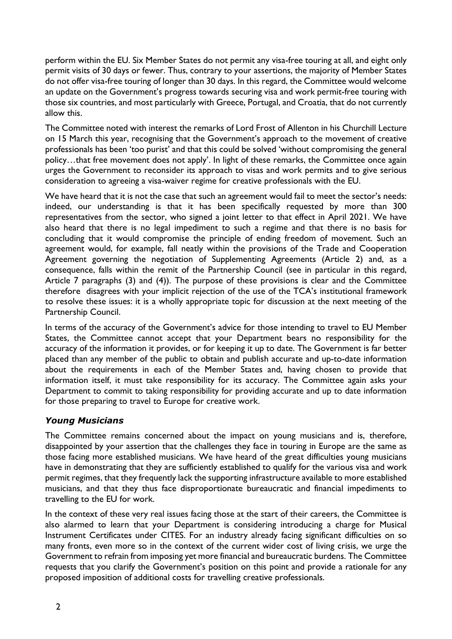perform within the EU. Six Member States do not permit any visa-free touring at all, and eight only permit visits of 30 days or fewer. Thus, contrary to your assertions, the majority of Member States do not offer visa-free touring of longer than 30 days. In this regard, the Committee would welcome an update on the Government's progress towards securing visa and work permit-free touring with those six countries, and most particularly with Greece, Portugal, and Croatia, that do not currently allow this.

The Committee noted with interest the remarks of Lord Frost of Allenton in his Churchill Lecture on 15 March this year, recognising that the Government's approach to the movement of creative professionals has been 'too purist' and that this could be solved 'without compromising the general policy…that free movement does not apply'. In light of these remarks, the Committee once again urges the Government to reconsider its approach to visas and work permits and to give serious consideration to agreeing a visa-waiver regime for creative professionals with the EU.

We have heard that it is not the case that such an agreement would fail to meet the sector's needs: indeed, our understanding is that it has been specifically requested by more than 300 representatives from the sector, who signed a joint letter to that effect in April 2021. We have also heard that there is no legal impediment to such a regime and that there is no basis for concluding that it would compromise the principle of ending freedom of movement. Such an agreement would, for example, fall neatly within the provisions of the Trade and Cooperation Agreement governing the negotiation of Supplementing Agreements (Article 2) and, as a consequence, falls within the remit of the Partnership Council (see in particular in this regard, Article 7 paragraphs (3) and (4)). The purpose of these provisions is clear and the Committee therefore disagrees with your implicit rejection of the use of the TCA's institutional framework to resolve these issues: it is a wholly appropriate topic for discussion at the next meeting of the Partnership Council.

In terms of the accuracy of the Government's advice for those intending to travel to EU Member States, the Committee cannot accept that your Department bears no responsibility for the accuracy of the information it provides, or for keeping it up to date. The Government is far better placed than any member of the public to obtain and publish accurate and up-to-date information about the requirements in each of the Member States and, having chosen to provide that information itself, it must take responsibility for its accuracy. The Committee again asks your Department to commit to taking responsibility for providing accurate and up to date information for those preparing to travel to Europe for creative work.

## *Young Musicians*

The Committee remains concerned about the impact on young musicians and is, therefore, disappointed by your assertion that the challenges they face in touring in Europe are the same as those facing more established musicians. We have heard of the great difficulties young musicians have in demonstrating that they are sufficiently established to qualify for the various visa and work permit regimes, that they frequently lack the supporting infrastructure available to more established musicians, and that they thus face disproportionate bureaucratic and financial impediments to travelling to the EU for work.

In the context of these very real issues facing those at the start of their careers, the Committee is also alarmed to learn that your Department is considering introducing a charge for Musical Instrument Certificates under CITES. For an industry already facing significant difficulties on so many fronts, even more so in the context of the current wider cost of living crisis, we urge the Government to refrain from imposing yet more financial and bureaucratic burdens. The Committee requests that you clarify the Government's position on this point and provide a rationale for any proposed imposition of additional costs for travelling creative professionals.